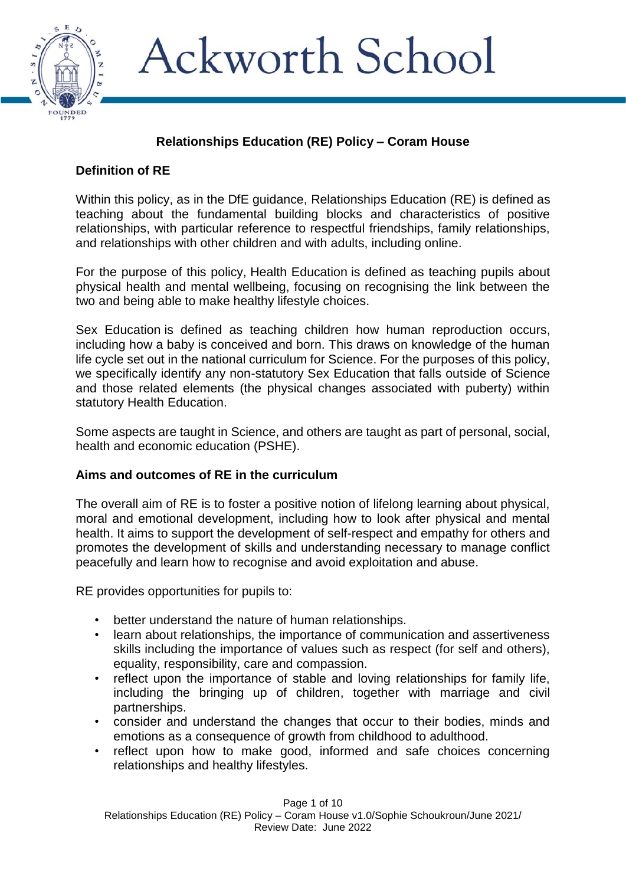

# **Relationships Education (RE) Policy – Coram House**

## **Definition of RE**

Within this policy, as in the DfE guidance, Relationships Education (RE) is defined as teaching about the fundamental building blocks and characteristics of positive relationships, with particular reference to respectful friendships, family relationships, and relationships with other children and with adults, including online.

For the purpose of this policy, Health Education is defined as teaching pupils about physical health and mental wellbeing, focusing on recognising the link between the two and being able to make healthy lifestyle choices.

Sex Education is defined as teaching children how human reproduction occurs, including how a baby is conceived and born. This draws on knowledge of the human life cycle set out in the national curriculum for Science. For the purposes of this policy, we specifically identify any non-statutory Sex Education that falls outside of Science and those related elements (the physical changes associated with puberty) within statutory Health Education.

Some aspects are taught in Science, and others are taught as part of personal, social, health and economic education (PSHE).

### **Aims and outcomes of RE in the curriculum**

The overall aim of RE is to foster a positive notion of lifelong learning about physical, moral and emotional development, including how to look after physical and mental health. It aims to support the development of self-respect and empathy for others and promotes the development of skills and understanding necessary to manage conflict peacefully and learn how to recognise and avoid exploitation and abuse.

RE provides opportunities for pupils to:

- better understand the nature of human relationships.
- learn about relationships, the importance of communication and assertiveness skills including the importance of values such as respect (for self and others), equality, responsibility, care and compassion.
- reflect upon the importance of stable and loving relationships for family life, including the bringing up of children, together with marriage and civil partnerships.
- consider and understand the changes that occur to their bodies, minds and emotions as a consequence of growth from childhood to adulthood.
- reflect upon how to make good, informed and safe choices concerning relationships and healthy lifestyles.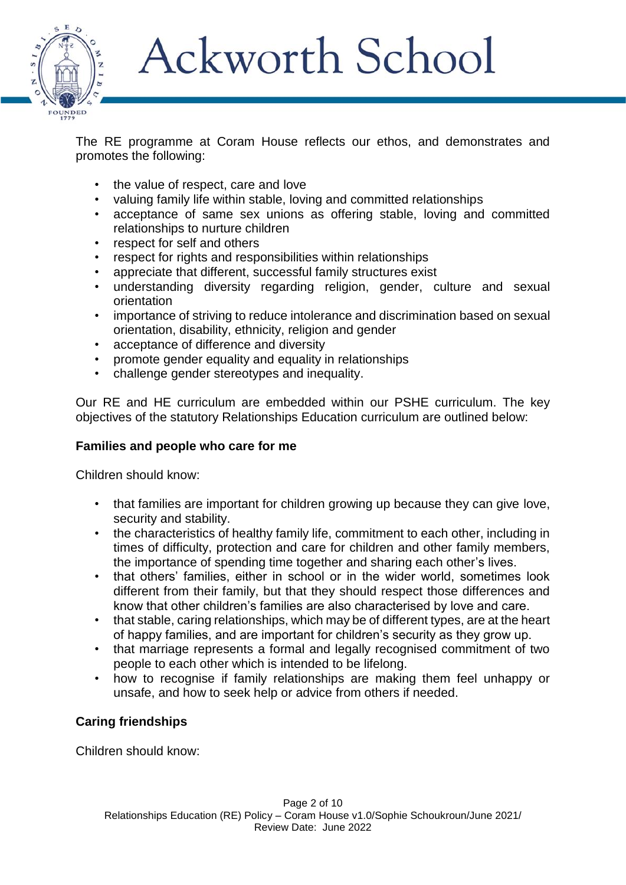

The RE programme at Coram House reflects our ethos, and demonstrates and promotes the following:

- the value of respect, care and love
- valuing family life within stable, loving and committed relationships
- acceptance of same sex unions as offering stable, loving and committed relationships to nurture children
- respect for self and others
- respect for rights and responsibilities within relationships
- appreciate that different, successful family structures exist
- understanding diversity regarding religion, gender, culture and sexual orientation
- importance of striving to reduce intolerance and discrimination based on sexual orientation, disability, ethnicity, religion and gender
- acceptance of difference and diversity
- promote gender equality and equality in relationships
- challenge gender stereotypes and inequality.

Our RE and HE curriculum are embedded within our PSHE curriculum. The key objectives of the statutory Relationships Education curriculum are outlined below:

### **Families and people who care for me**

Children should know:

- that families are important for children growing up because they can give love, security and stability.
- the characteristics of healthy family life, commitment to each other, including in times of difficulty, protection and care for children and other family members, the importance of spending time together and sharing each other's lives.
- that others' families, either in school or in the wider world, sometimes look different from their family, but that they should respect those differences and know that other children's families are also characterised by love and care.
- that stable, caring relationships, which may be of different types, are at the heart of happy families, and are important for children's security as they grow up.
- that marriage represents a formal and legally recognised commitment of two people to each other which is intended to be lifelong.
- how to recognise if family relationships are making them feel unhappy or unsafe, and how to seek help or advice from others if needed.

# **Caring friendships**

Children should know: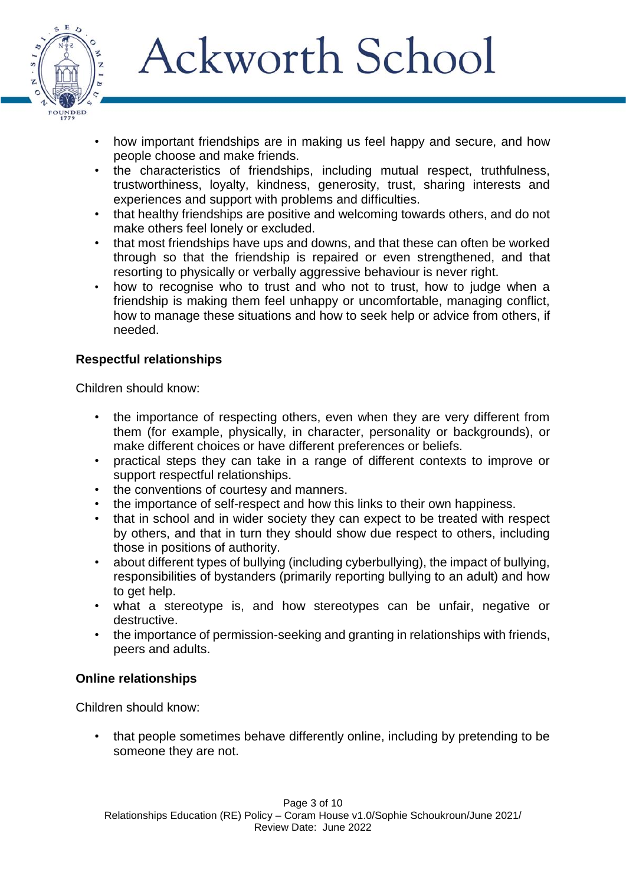

- how important friendships are in making us feel happy and secure, and how people choose and make friends.
- the characteristics of friendships, including mutual respect, truthfulness, trustworthiness, loyalty, kindness, generosity, trust, sharing interests and experiences and support with problems and difficulties.
- that healthy friendships are positive and welcoming towards others, and do not make others feel lonely or excluded.
- that most friendships have ups and downs, and that these can often be worked through so that the friendship is repaired or even strengthened, and that resorting to physically or verbally aggressive behaviour is never right.
- how to recognise who to trust and who not to trust, how to judge when a friendship is making them feel unhappy or uncomfortable, managing conflict, how to manage these situations and how to seek help or advice from others, if needed.

# **Respectful relationships**

Children should know:

- the importance of respecting others, even when they are very different from them (for example, physically, in character, personality or backgrounds), or make different choices or have different preferences or beliefs.
- practical steps they can take in a range of different contexts to improve or support respectful relationships.
- the conventions of courtesy and manners.
- the importance of self-respect and how this links to their own happiness.
- that in school and in wider society they can expect to be treated with respect by others, and that in turn they should show due respect to others, including those in positions of authority.
- about different types of bullying (including cyberbullying), the impact of bullying, responsibilities of bystanders (primarily reporting bullying to an adult) and how to get help.
- what a stereotype is, and how stereotypes can be unfair, negative or destructive.
- the importance of permission-seeking and granting in relationships with friends, peers and adults.

### **Online relationships**

Children should know:

• that people sometimes behave differently online, including by pretending to be someone they are not.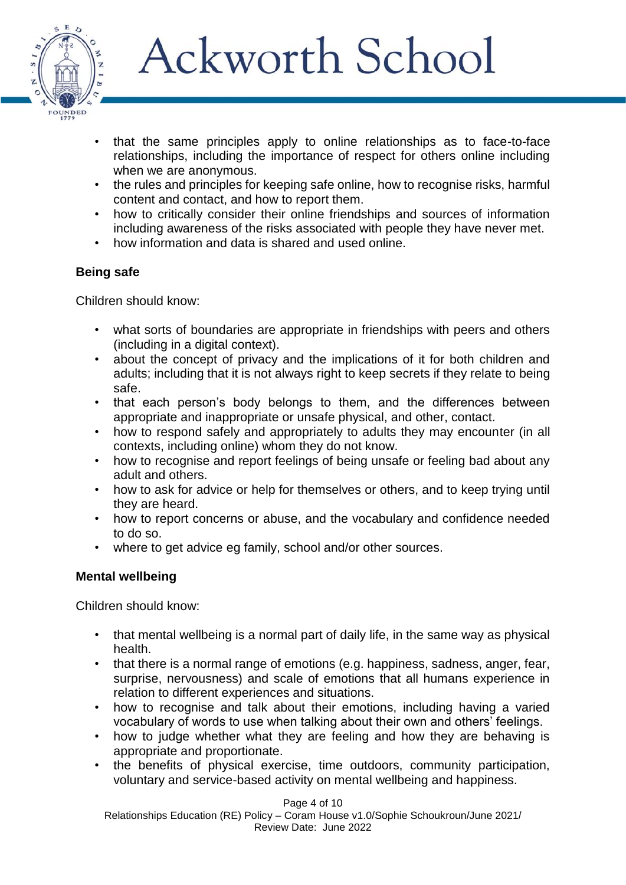

- that the same principles apply to online relationships as to face-to-face relationships, including the importance of respect for others online including when we are anonymous.
- the rules and principles for keeping safe online, how to recognise risks, harmful content and contact, and how to report them.
- how to critically consider their online friendships and sources of information including awareness of the risks associated with people they have never met.
- how information and data is shared and used online.

## **Being safe**

Children should know:

- what sorts of boundaries are appropriate in friendships with peers and others (including in a digital context).
- about the concept of privacy and the implications of it for both children and adults; including that it is not always right to keep secrets if they relate to being safe.
- that each person's body belongs to them, and the differences between appropriate and inappropriate or unsafe physical, and other, contact.
- how to respond safely and appropriately to adults they may encounter (in all contexts, including online) whom they do not know.
- how to recognise and report feelings of being unsafe or feeling bad about any adult and others.
- how to ask for advice or help for themselves or others, and to keep trying until they are heard.
- how to report concerns or abuse, and the vocabulary and confidence needed to do so.
- where to get advice eg family, school and/or other sources.

# **Mental wellbeing**

Children should know:

- that mental wellbeing is a normal part of daily life, in the same way as physical health.
- that there is a normal range of emotions (e.g. happiness, sadness, anger, fear, surprise, nervousness) and scale of emotions that all humans experience in relation to different experiences and situations.
- how to recognise and talk about their emotions, including having a varied vocabulary of words to use when talking about their own and others' feelings.
- how to judge whether what they are feeling and how they are behaving is appropriate and proportionate.
- the benefits of physical exercise, time outdoors, community participation, voluntary and service-based activity on mental wellbeing and happiness.

Page 4 of 10

Relationships Education (RE) Policy – Coram House v1.0/Sophie Schoukroun/June 2021/ Review Date: June 2022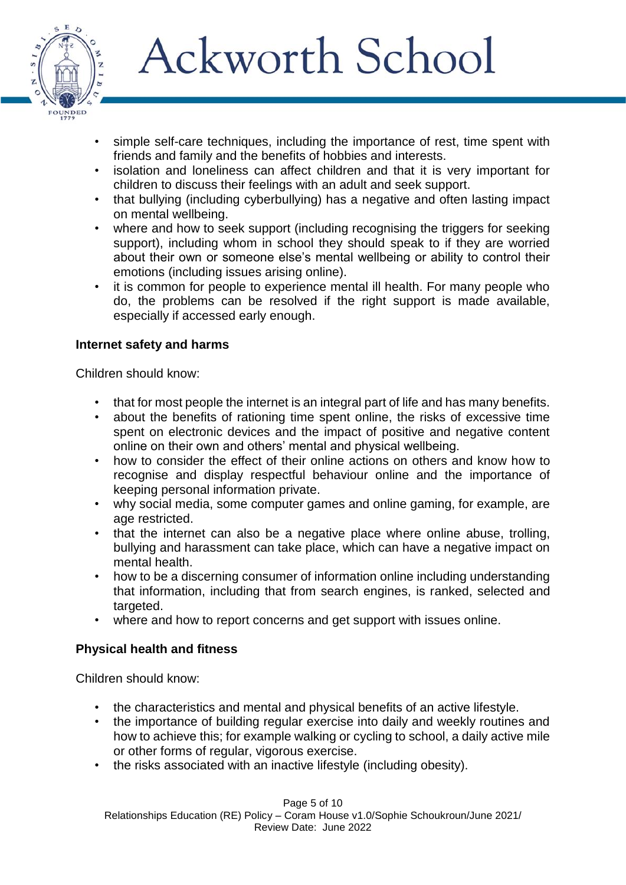

- simple self-care techniques, including the importance of rest, time spent with friends and family and the benefits of hobbies and interests.
- isolation and loneliness can affect children and that it is very important for children to discuss their feelings with an adult and seek support.
- that bullying (including cyberbullying) has a negative and often lasting impact on mental wellbeing.
- where and how to seek support (including recognising the triggers for seeking support), including whom in school they should speak to if they are worried about their own or someone else's mental wellbeing or ability to control their emotions (including issues arising online).
- it is common for people to experience mental ill health. For many people who do, the problems can be resolved if the right support is made available, especially if accessed early enough.

## **Internet safety and harms**

Children should know:

- that for most people the internet is an integral part of life and has many benefits.
- about the benefits of rationing time spent online, the risks of excessive time spent on electronic devices and the impact of positive and negative content online on their own and others' mental and physical wellbeing.
- how to consider the effect of their online actions on others and know how to recognise and display respectful behaviour online and the importance of keeping personal information private.
- why social media, some computer games and online gaming, for example, are age restricted.
- that the internet can also be a negative place where online abuse, trolling, bullying and harassment can take place, which can have a negative impact on mental health.
- how to be a discerning consumer of information online including understanding that information, including that from search engines, is ranked, selected and targeted.
- where and how to report concerns and get support with issues online.

# **Physical health and fitness**

Children should know:

- the characteristics and mental and physical benefits of an active lifestyle.
- the importance of building regular exercise into daily and weekly routines and how to achieve this; for example walking or cycling to school, a daily active mile or other forms of regular, vigorous exercise.
- the risks associated with an inactive lifestyle (including obesity).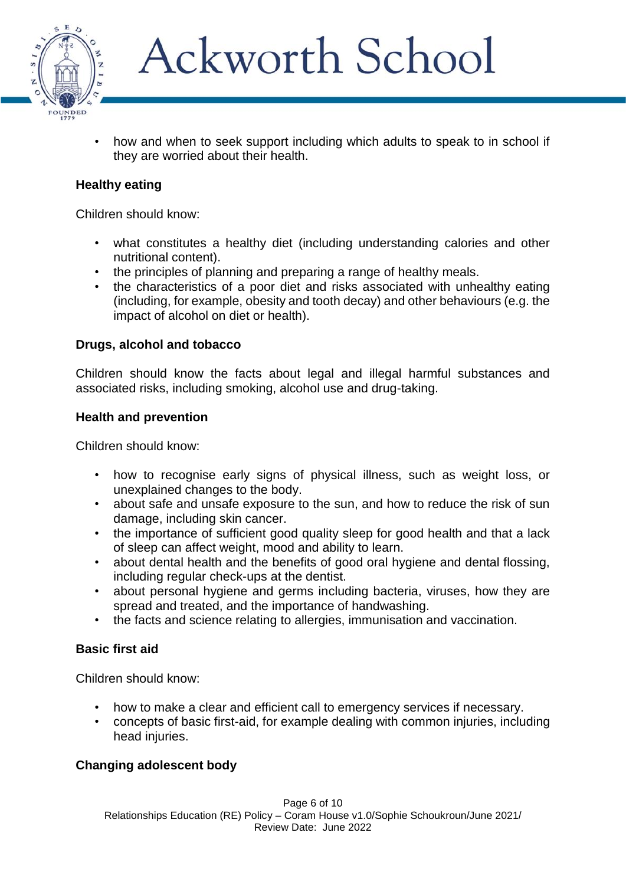

• how and when to seek support including which adults to speak to in school if they are worried about their health.

### **Healthy eating**

Children should know:

- what constitutes a healthy diet (including understanding calories and other nutritional content).
- the principles of planning and preparing a range of healthy meals.
- the characteristics of a poor diet and risks associated with unhealthy eating (including, for example, obesity and tooth decay) and other behaviours (e.g. the impact of alcohol on diet or health).

#### **Drugs, alcohol and tobacco**

Children should know the facts about legal and illegal harmful substances and associated risks, including smoking, alcohol use and drug-taking.

#### **Health and prevention**

Children should know:

- how to recognise early signs of physical illness, such as weight loss, or unexplained changes to the body.
- about safe and unsafe exposure to the sun, and how to reduce the risk of sun damage, including skin cancer.
- the importance of sufficient good quality sleep for good health and that a lack of sleep can affect weight, mood and ability to learn.
- about dental health and the benefits of good oral hygiene and dental flossing, including regular check-ups at the dentist.
- about personal hygiene and germs including bacteria, viruses, how they are spread and treated, and the importance of handwashing.
- the facts and science relating to allergies, immunisation and vaccination.

### **Basic first aid**

Children should know:

- how to make a clear and efficient call to emergency services if necessary.
- concepts of basic first-aid, for example dealing with common injuries, including head injuries.

### **Changing adolescent body**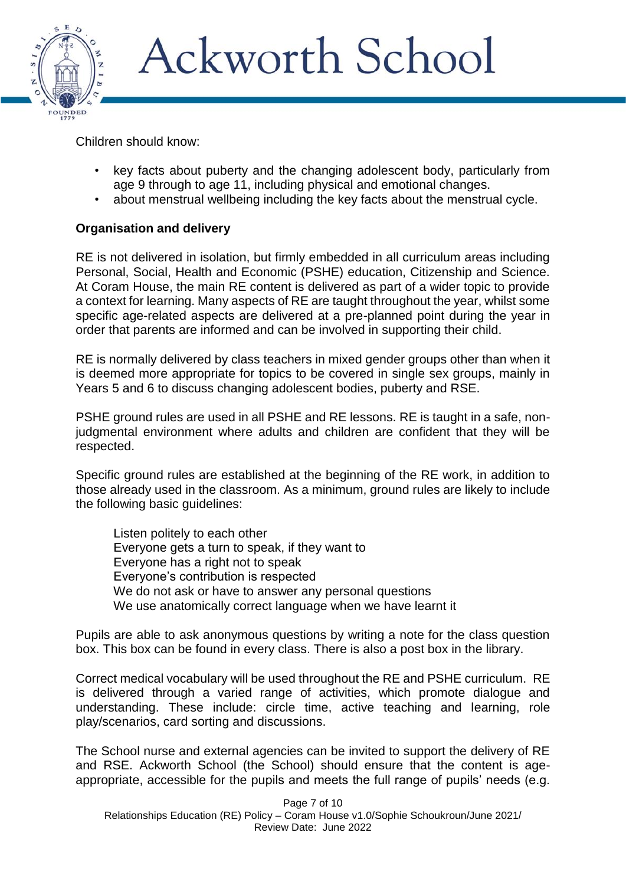

Children should know:

- key facts about puberty and the changing adolescent body, particularly from age 9 through to age 11, including physical and emotional changes.
- about menstrual wellbeing including the key facts about the menstrual cycle.

# **Organisation and delivery**

RE is not delivered in isolation, but firmly embedded in all curriculum areas including Personal, Social, Health and Economic (PSHE) education, Citizenship and Science. At Coram House, the main RE content is delivered as part of a wider topic to provide a context for learning. Many aspects of RE are taught throughout the year, whilst some specific age-related aspects are delivered at a pre-planned point during the year in order that parents are informed and can be involved in supporting their child.

RE is normally delivered by class teachers in mixed gender groups other than when it is deemed more appropriate for topics to be covered in single sex groups, mainly in Years 5 and 6 to discuss changing adolescent bodies, puberty and RSE.

PSHE ground rules are used in all PSHE and RE lessons. RE is taught in a safe, nonjudgmental environment where adults and children are confident that they will be respected.

Specific ground rules are established at the beginning of the RE work, in addition to those already used in the classroom. As a minimum, ground rules are likely to include the following basic guidelines:

Listen politely to each other Everyone gets a turn to speak, if they want to Everyone has a right not to speak Everyone's contribution is respected We do not ask or have to answer any personal questions We use anatomically correct language when we have learnt it

Pupils are able to ask anonymous questions by writing a note for the class question box. This box can be found in every class. There is also a post box in the library.

Correct medical vocabulary will be used throughout the RE and PSHE curriculum. RE is delivered through a varied range of activities, which promote dialogue and understanding. These include: circle time, active teaching and learning, role play/scenarios, card sorting and discussions.

The School nurse and external agencies can be invited to support the delivery of RE and RSE. Ackworth School (the School) should ensure that the content is ageappropriate, accessible for the pupils and meets the full range of pupils' needs (e.g.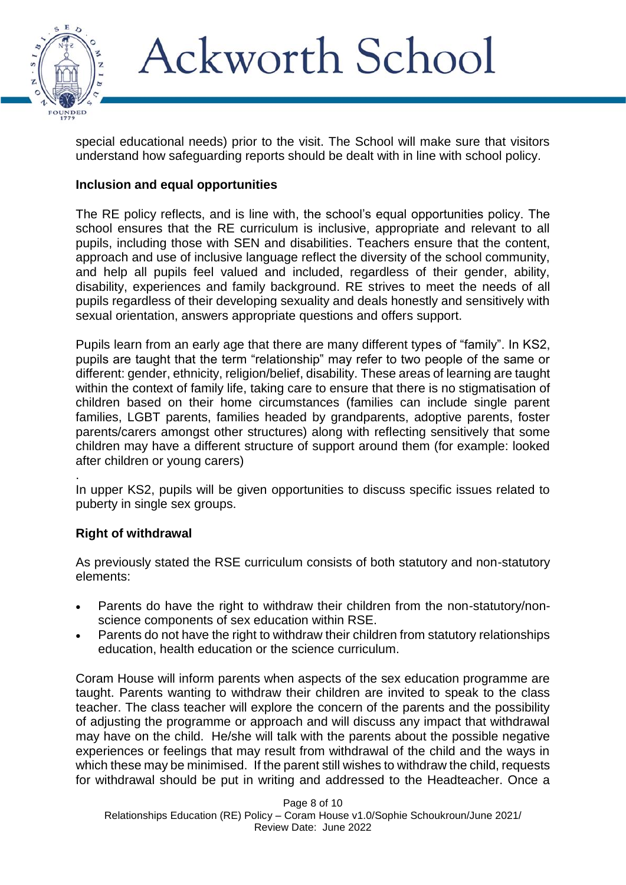

special educational needs) prior to the visit. The School will make sure that visitors understand how safeguarding reports should be dealt with in line with school policy.

### **Inclusion and equal opportunities**

The RE policy reflects, and is line with, the school's equal opportunities policy. The school ensures that the RE curriculum is inclusive, appropriate and relevant to all pupils, including those with SEN and disabilities. Teachers ensure that the content, approach and use of inclusive language reflect the diversity of the school community, and help all pupils feel valued and included, regardless of their gender, ability, disability, experiences and family background. RE strives to meet the needs of all pupils regardless of their developing sexuality and deals honestly and sensitively with sexual orientation, answers appropriate questions and offers support.

Pupils learn from an early age that there are many different types of "family". In KS2, pupils are taught that the term "relationship" may refer to two people of the same or different: gender, ethnicity, religion/belief, disability. These areas of learning are taught within the context of family life, taking care to ensure that there is no stigmatisation of children based on their home circumstances (families can include single parent families, LGBT parents, families headed by grandparents, adoptive parents, foster parents/carers amongst other structures) along with reflecting sensitively that some children may have a different structure of support around them (for example: looked after children or young carers)

. In upper KS2, pupils will be given opportunities to discuss specific issues related to puberty in single sex groups.

### **Right of withdrawal**

As previously stated the RSE curriculum consists of both statutory and non-statutory elements:

- Parents do have the right to withdraw their children from the non-statutory/nonscience components of sex education within RSE.
- Parents do not have the right to withdraw their children from statutory relationships education, health education or the science curriculum.

Coram House will inform parents when aspects of the sex education programme are taught. Parents wanting to withdraw their children are invited to speak to the class teacher. The class teacher will explore the concern of the parents and the possibility of adjusting the programme or approach and will discuss any impact that withdrawal may have on the child. He/she will talk with the parents about the possible negative experiences or feelings that may result from withdrawal of the child and the ways in which these may be minimised. If the parent still wishes to withdraw the child, requests for withdrawal should be put in writing and addressed to the Headteacher. Once a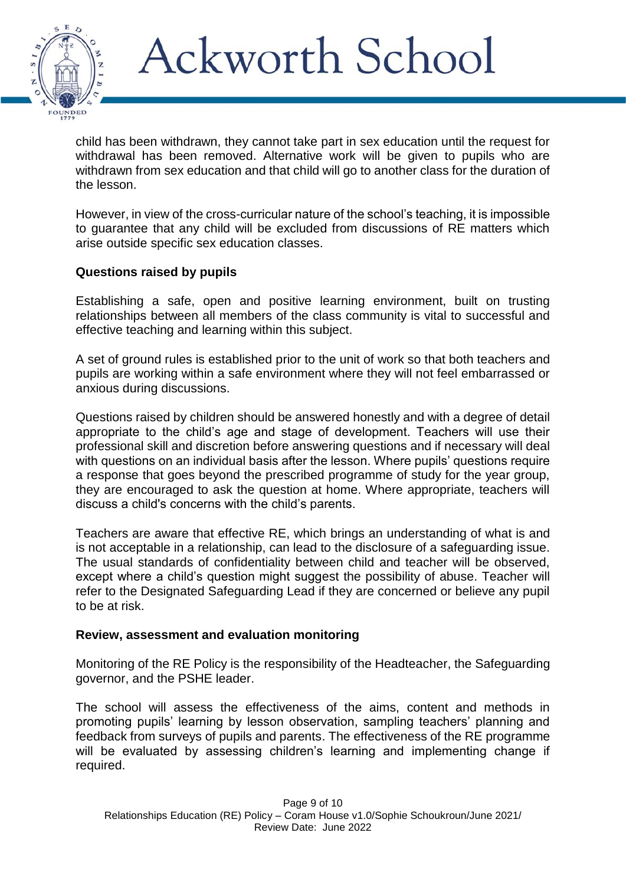

child has been withdrawn, they cannot take part in sex education until the request for withdrawal has been removed. Alternative work will be given to pupils who are withdrawn from sex education and that child will go to another class for the duration of the lesson.

However, in view of the cross-curricular nature of the school's teaching, it is impossible to guarantee that any child will be excluded from discussions of RE matters which arise outside specific sex education classes.

#### **Questions raised by pupils**

Establishing a safe, open and positive learning environment, built on trusting relationships between all members of the class community is vital to successful and effective teaching and learning within this subject.

A set of ground rules is established prior to the unit of work so that both teachers and pupils are working within a safe environment where they will not feel embarrassed or anxious during discussions.

Questions raised by children should be answered honestly and with a degree of detail appropriate to the child's age and stage of development. Teachers will use their professional skill and discretion before answering questions and if necessary will deal with questions on an individual basis after the lesson. Where pupils' questions require a response that goes beyond the prescribed programme of study for the year group, they are encouraged to ask the question at home. Where appropriate, teachers will discuss a child's concerns with the child's parents.

Teachers are aware that effective RE, which brings an understanding of what is and is not acceptable in a relationship, can lead to the disclosure of a safeguarding issue. The usual standards of confidentiality between child and teacher will be observed, except where a child's question might suggest the possibility of abuse. Teacher will refer to the Designated Safeguarding Lead if they are concerned or believe any pupil to be at risk.

#### **Review, assessment and evaluation monitoring**

Monitoring of the RE Policy is the responsibility of the Headteacher, the Safeguarding governor, and the PSHE leader.

The school will assess the effectiveness of the aims, content and methods in promoting pupils' learning by lesson observation, sampling teachers' planning and feedback from surveys of pupils and parents. The effectiveness of the RE programme will be evaluated by assessing children's learning and implementing change if required.